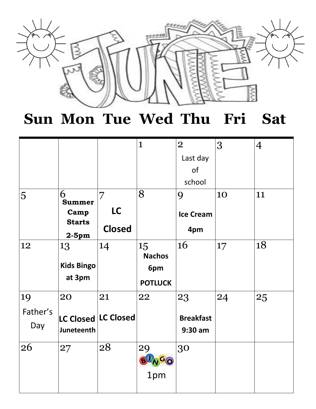

## **Sun Mon Tue Wed Thu Fri Sat**

|                       |                                                        |                                 | $\mathbf{1}$                                 | $\overline{2}$<br>Last day<br>of<br>school | 3       | $\overline{4}$ |
|-----------------------|--------------------------------------------------------|---------------------------------|----------------------------------------------|--------------------------------------------|---------|----------------|
| 5                     | 6<br><b>Summer</b><br>Camp<br><b>Starts</b><br>$2-5pm$ | 7<br><b>LC</b><br><b>Closed</b> | 8                                            | 9<br><b>Ice Cream</b><br>4pm               | 10      | 11             |
| 12                    | 13<br><b>Kids Bingo</b><br>at 3pm                      | 14                              | 15<br><b>Nachos</b><br>6pm<br><b>POTLUCK</b> | <b>16</b>                                  | $17 \,$ | 18             |
| 19<br>Father's<br>Day | 20<br>Juneteenth                                       | 21<br>LC Closed LC Closed       | 22                                           | 23<br><b>Breakfast</b><br>$9:30$ am        | 24      | 25             |
| 26                    | 27                                                     | 28                              | 29<br>LNGO<br>1pm                            | 30                                         |         |                |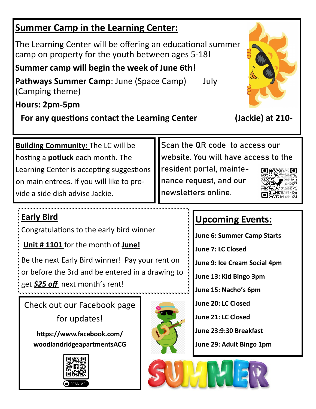# Check out our Facebook page **Early Bird** Congratulations to the early bird winner **Unit # 1101** for the month of **June!** Be the next Early Bird winner! Pay your rent on or before the 3rd and be entered in a drawing to get *\$25 off* next month's rent! **newsletters online. For any questions contact the Learning Center (Jackie) at 210- Building Community:** The LC will be Learning Center is accepting suggestions

for updates!

**https://www.facebook.com/ woodlandridgeapartmentsACG**



**Upcoming Events:**

**June 6: Summer Camp Starts**

**June 7: LC Closed**

**June 9: Ice Cream Social 4pm** 

**June 13: Kid Bingo 3pm**

**June 15: Nacho's 6pm**

**June 20: LC Closed**

**June 21: LC Closed**

**June 23:9:30 Breakfast** 

**June 29: Adult Bingo 1pm**

### **Summer Camp in the Learning Center:**

The Learning Center will be offering an educational summer camp on property for the youth between ages 5-18!

### **Summer camp will begin the week of June 6th!**

**Pathways Summer Camp: June (Space Camp) July** (Camping theme)

#### **Hours: 2pm-5pm**

hosting a **potluck** each month. The on main entrees. If you will like to provide a side dish advise Jackie.

**Scan the QR code to access our website. You will have access to the** 

**resident portal, maintenance request, and our** 



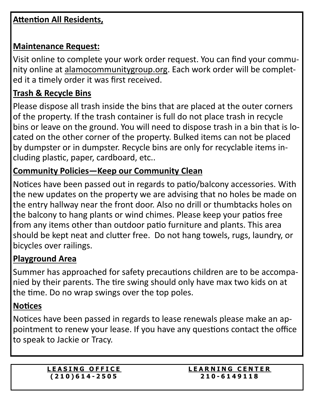#### **Attention All Residents,**

#### **Maintenance Request:**

Visit online to complete your work order request. You can find your community online at alamocommunitygroup.org. Each work order will be completed it a timely order it was first received.

#### **Trash & Recycle Bins**

Please dispose all trash inside the bins that are placed at the outer corners of the property. If the trash container is full do not place trash in recycle bins or leave on the ground. You will need to dispose trash in a bin that is located on the other corner of the property. Bulked items can not be placed by dumpster or in dumpster. Recycle bins are only for recyclable items including plastic, paper, cardboard, etc..

#### **Community Policies—Keep our Community Clean**

Notices have been passed out in regards to patio/balcony accessories. With the new updates on the property we are advising that no holes be made on the entry hallway near the front door. Also no drill or thumbtacks holes on the balcony to hang plants or wind chimes. Please keep your patios free from any items other than outdoor patio furniture and plants. This area should be kept neat and clutter free. Do not hang towels, rugs, laundry, or bicycles over railings.

#### **Playground Area**

Summer has approached for safety precautions children are to be accompanied by their parents. The tire swing should only have max two kids on at the time. Do no wrap swings over the top poles.

#### **Notices**

Notices have been passed in regards to lease renewals please make an appointment to renew your lease. If you have any questions contact the office to speak to Jackie or Tracy.

> **L E A S I N G O F F I C E ( 2 1 0 ) 6 1 4 - 2 5 0 5**

#### **L E A R N I N G C E N T E R 210 - 6 1 4 9 1 1 8**